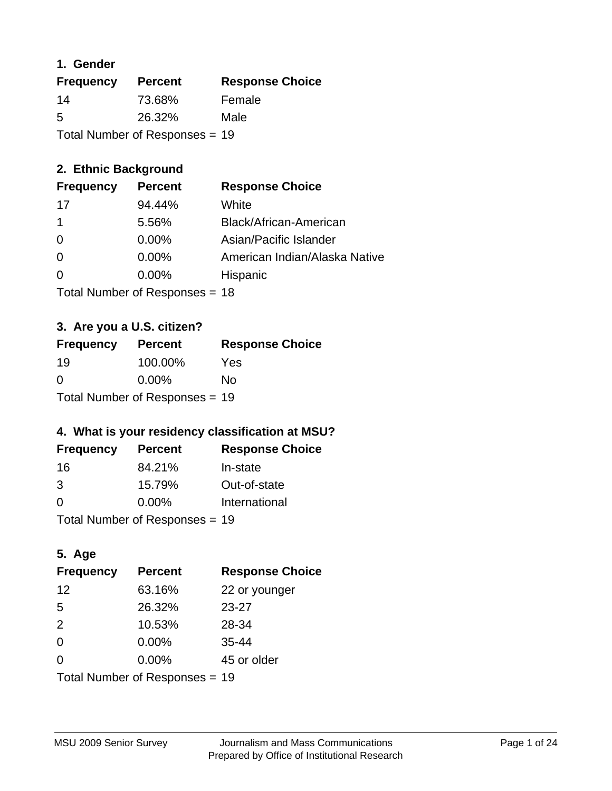### **1. Gender**

| <b>Frequency</b>               | <b>Percent</b> | <b>Response Choice</b> |
|--------------------------------|----------------|------------------------|
| 14                             | 73.68%         | Female                 |
| 5                              | 26.32%         | Male                   |
| Total Number of Responses = 19 |                |                        |

## **2. Ethnic Background**

| <b>Frequency</b> | <b>Percent</b> | <b>Response Choice</b>        |
|------------------|----------------|-------------------------------|
| 17               | 94.44%         | White                         |
|                  | 5.56%          | Black/African-American        |
| 0                | 0.00%          | Asian/Pacific Islander        |
| -0               | 0.00%          | American Indian/Alaska Native |
| 0                | 0.00%          | Hispanic                      |
|                  |                |                               |

Total Number of Responses = 18

### **3. Are you a U.S. citizen?**

| <b>Frequency</b>               | <b>Percent</b> | <b>Response Choice</b> |
|--------------------------------|----------------|------------------------|
| -19                            | 100.00%        | Yes                    |
| $\Omega$                       | $0.00\%$       | Nο                     |
| Total Number of Responses = 19 |                |                        |

## **4. What is your residency classification at MSU?**

| <b>Frequency</b> | <b>Percent</b> | <b>Response Choice</b> |
|------------------|----------------|------------------------|
| -16              | 84.21%         | In-state               |
| 3                | 15.79%         | Out-of-state           |
| $\Omega$         | $0.00\%$       | International          |
|                  |                |                        |

Total Number of Responses = 19

## **5. Age**

| <b>Frequency</b>               | <b>Percent</b> | <b>Response Choice</b> |
|--------------------------------|----------------|------------------------|
| 12                             | 63.16%         | 22 or younger          |
| 5                              | 26.32%         | $23 - 27$              |
| 2                              | 10.53%         | 28-34                  |
| $\Omega$                       | 0.00%          | $35 - 44$              |
| 0                              | 0.00%          | 45 or older            |
| Total Number of Responses = 19 |                |                        |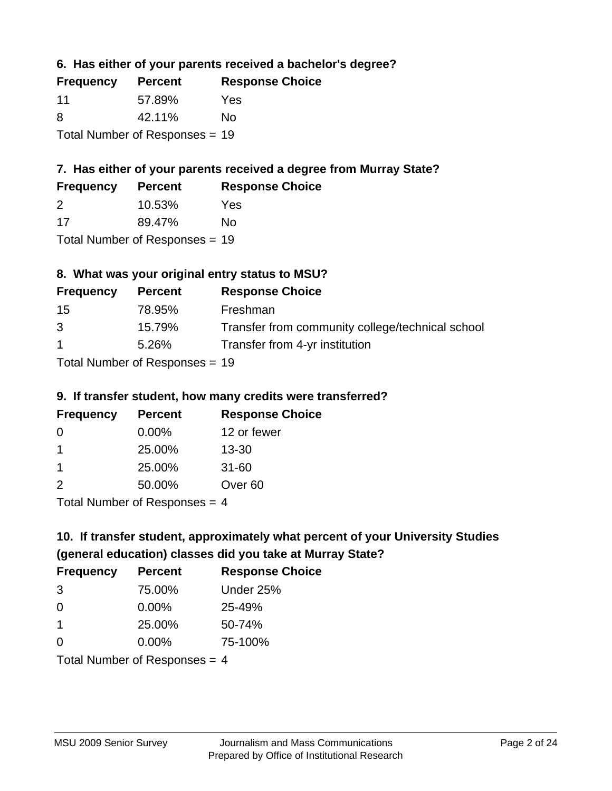### **6. Has either of your parents received a bachelor's degree?**

| <b>Frequency</b>               | <b>Percent</b> | <b>Response Choice</b> |
|--------------------------------|----------------|------------------------|
| -11                            | 57.89%         | Yes                    |
| -8                             | 42.11%         | No                     |
| Total Number of Responses = 19 |                |                        |

### **7. Has either of your parents received a degree from Murray State?**

| <b>Frequency</b> | <b>Percent</b> | <b>Response Choice</b> |
|------------------|----------------|------------------------|
| -2               | 10.53%         | Yes                    |
| -17              | 89.47%         | No                     |

Total Number of Responses = 19

### **8. What was your original entry status to MSU?**

| <b>Frequency</b> | <b>Percent</b>                   | <b>Response Choice</b>                           |
|------------------|----------------------------------|--------------------------------------------------|
| 15               | 78.95%                           | Freshman                                         |
| 3                | 15.79%                           | Transfer from community college/technical school |
| $\mathbf 1$      | 5.26%                            | Transfer from 4-yr institution                   |
|                  | $Total Number of Doononoog = 40$ |                                                  |

Total Number of Responses = 19

### **9. If transfer student, how many credits were transferred?**

| <b>Frequency</b>            | <b>Percent</b> | <b>Response Choice</b> |
|-----------------------------|----------------|------------------------|
| -0                          | $0.00\%$       | 12 or fewer            |
|                             | 25.00%         | $13 - 30$              |
|                             | 25.00%         | $31 - 60$              |
| $\mathcal{P}$               | 50.00%         | Over <sub>60</sub>     |
| Total Number of Desponses 4 |                |                        |

Total Number of Responses = 4

# **10. If transfer student, approximately what percent of your University Studies (general education) classes did you take at Murray State?**

| <b>Frequency</b>                | <b>Percent</b> | <b>Response Choice</b> |
|---------------------------------|----------------|------------------------|
| 3                               | 75.00%         | Under 25%              |
| $\Omega$                        | $0.00\%$       | 25-49%                 |
| -1                              | 25.00%         | 50-74%                 |
| $\Omega$                        | 0.00%          | 75-100%                |
| Total Number of Responses $-$ 1 |                |                        |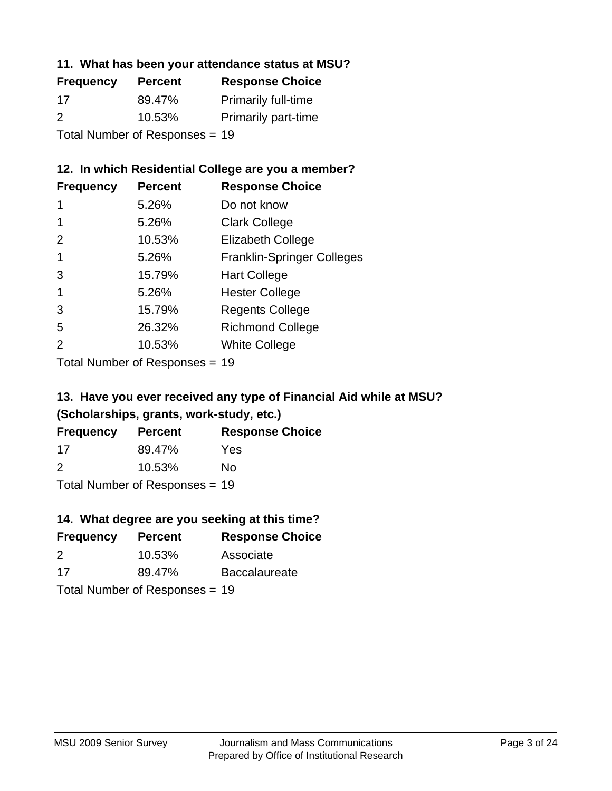### **11. What has been your attendance status at MSU?**

| <b>Frequency</b> | <b>Percent</b>                 | <b>Response Choice</b>     |
|------------------|--------------------------------|----------------------------|
| 17               | 89.47%                         | <b>Primarily full-time</b> |
| $\mathcal{P}$    | 10.53%                         | <b>Primarily part-time</b> |
|                  | Total Number of Responses = 19 |                            |

### **12. In which Residential College are you a member?**

| <b>Frequency</b> | <b>Percent</b> | <b>Response Choice</b>            |
|------------------|----------------|-----------------------------------|
| 1                | 5.26%          | Do not know                       |
|                  | 5.26%          | <b>Clark College</b>              |
| 2                | 10.53%         | <b>Elizabeth College</b>          |
|                  | 5.26%          | <b>Franklin-Springer Colleges</b> |
| 3                | 15.79%         | <b>Hart College</b>               |
|                  | 5.26%          | <b>Hester College</b>             |
| 3                | 15.79%         | <b>Regents College</b>            |
| 5                | 26.32%         | <b>Richmond College</b>           |
| 2                | 10.53%         | <b>White College</b>              |
|                  |                |                                   |

Total Number of Responses = 19

## **13. Have you ever received any type of Financial Aid while at MSU? (Scholarships, grants, work-study, etc.)**

| <b>Frequency</b> | <b>Percent</b>            | <b>Response Choice</b> |
|------------------|---------------------------|------------------------|
| 17               | 89.47%                    | Yes                    |
| $\mathcal{P}$    | 10.53%                    | Nο                     |
|                  | Total Number of Deepersee |                        |

Total Number of Responses = 19

### **14. What degree are you seeking at this time?**

| <b>Frequency</b> | <b>Percent</b>                 | <b>Response Choice</b> |
|------------------|--------------------------------|------------------------|
| 2                | 10.53%                         | Associate              |
| 17               | 89.47%                         | <b>Baccalaureate</b>   |
|                  | Total Number of Responses = 19 |                        |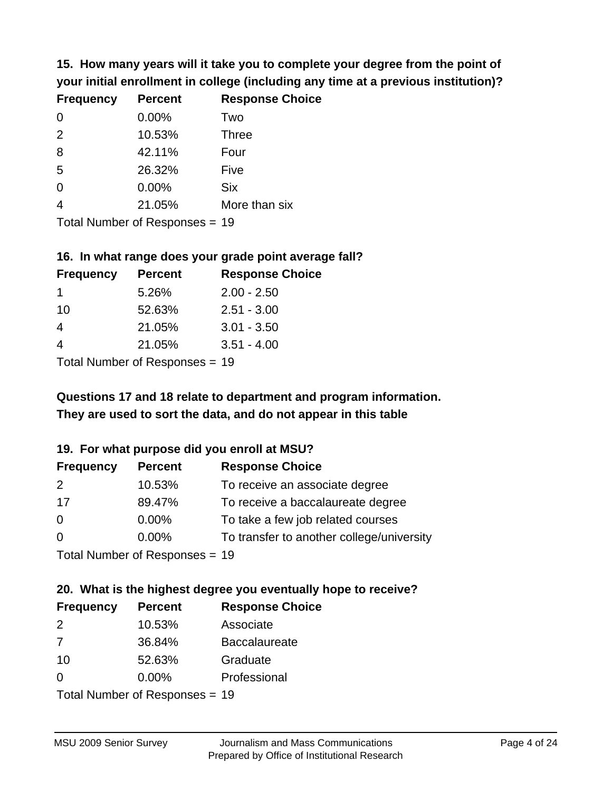**15. How many years will it take you to complete your degree from the point of your initial enrollment in college (including any time at a previous institution)?**

| <b>Frequency</b> | <b>Percent</b> | <b>Response Choice</b> |
|------------------|----------------|------------------------|
| $\Omega$         | 0.00%          | Two                    |
| 2                | 10.53%         | <b>Three</b>           |
| 8                | 42.11%         | Four                   |
| 5                | 26.32%         | Five                   |
| 0                | 0.00%          | <b>Six</b>             |
| $\overline{4}$   | 21.05%         | More than six          |
|                  |                |                        |

Total Number of Responses = 19

#### **16. In what range does your grade point average fall?**

| <b>Frequency</b> | <b>Percent</b> | <b>Response Choice</b> |
|------------------|----------------|------------------------|
|                  | 5.26%          | $2.00 - 2.50$          |
| 10               | 52.63%         | $2.51 - 3.00$          |
| 4                | 21.05%         | $3.01 - 3.50$          |
|                  | 21.05%         | $3.51 - 4.00$          |
|                  |                |                        |

Total Number of Responses = 19

## **They are used to sort the data, and do not appear in this table Questions 17 and 18 relate to department and program information.**

### **19. For what purpose did you enroll at MSU?**

| <b>Frequency</b> | <b>Percent</b>                 | <b>Response Choice</b>                    |
|------------------|--------------------------------|-------------------------------------------|
| 2                | 10.53%                         | To receive an associate degree            |
| 17               | 89.47%                         | To receive a baccalaureate degree         |
| $\overline{0}$   | $0.00\%$                       | To take a few job related courses         |
| $\overline{0}$   | 0.00%                          | To transfer to another college/university |
|                  | Total Number of Recnonces - 19 |                                           |

Total Number of Responses = 19

# **20. What is the highest degree you eventually hope to receive?**

| <b>Frequency</b> | <b>Percent</b>                 | <b>Response Choice</b> |
|------------------|--------------------------------|------------------------|
| 2                | 10.53%                         | Associate              |
| 7                | 36.84%                         | <b>Baccalaureate</b>   |
| 10               | 52.63%                         | Graduate               |
| $\Omega$         | $0.00\%$                       | Professional           |
|                  | Total Number of Responses = 19 |                        |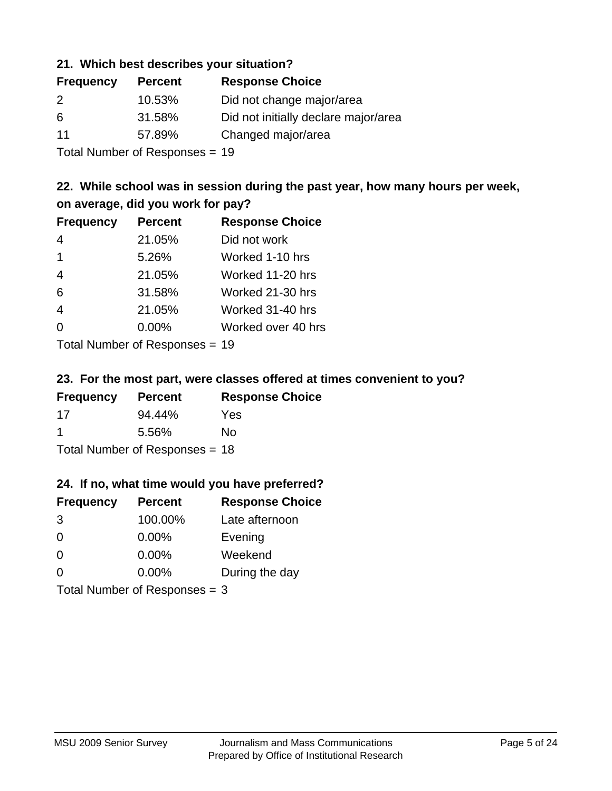### **21. Which best describes your situation?**

| <b>Frequency</b> | <b>Percent</b> | <b>Response Choice</b>               |
|------------------|----------------|--------------------------------------|
| 2                | 10.53%         | Did not change major/area            |
| 6                | 31.58%         | Did not initially declare major/area |
| 11               | 57.89%         | Changed major/area                   |
|                  |                |                                      |

Total Number of Responses = 19

### **22. While school was in session during the past year, how many hours per week, on average, did you work for pay?**

| <b>Frequency</b> | <b>Percent</b> | <b>Response Choice</b> |
|------------------|----------------|------------------------|
| 4                | 21.05%         | Did not work           |
| $\mathbf 1$      | 5.26%          | Worked 1-10 hrs        |
| $\overline{4}$   | 21.05%         | Worked 11-20 hrs       |
| 6                | 31.58%         | Worked 21-30 hrs       |
| $\overline{4}$   | 21.05%         | Worked 31-40 hrs       |
| $\Omega$         | 0.00%          | Worked over 40 hrs     |
|                  |                |                        |

Total Number of Responses = 19

### **23. For the most part, were classes offered at times convenient to you?**

| <b>Frequency</b>               | <b>Percent</b> | <b>Response Choice</b> |
|--------------------------------|----------------|------------------------|
| 17                             | 94.44%         | Yes                    |
| -1                             | 5.56%          | Nο                     |
| Total Number of Responses = 18 |                |                        |

### **24. If no, what time would you have preferred?**

| <b>Frequency</b>                | <b>Percent</b> | <b>Response Choice</b> |
|---------------------------------|----------------|------------------------|
| 3                               | 100.00%        | Late afternoon         |
| $\Omega$                        | 0.00%          | Evening                |
| 0                               | $0.00\%$       | Weekend                |
| $\Omega$                        | $0.00\%$       | During the day         |
| Total Number of Responses = $3$ |                |                        |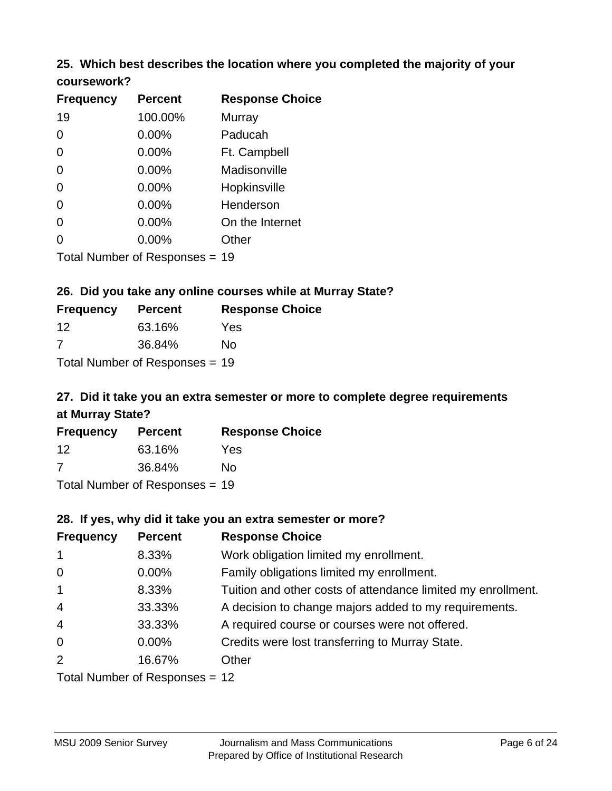# **25. Which best describes the location where you completed the majority of your**

| coursework? |  |
|-------------|--|
|-------------|--|

| <b>Frequency</b> | <b>Percent</b>                 | <b>Response Choice</b> |
|------------------|--------------------------------|------------------------|
| 19               | 100.00%                        | <b>Murray</b>          |
| 0                | 0.00%                          | Paducah                |
| 0                | 0.00%                          | Ft. Campbell           |
| 0                | $0.00\%$                       | Madisonville           |
| 0                | 0.00%                          | Hopkinsville           |
| 0                | $0.00\%$                       | Henderson              |
| 0                | 0.00%                          | On the Internet        |
| 0                | 0.00%                          | Other                  |
|                  | Total Number of Responses = 19 |                        |

### **26. Did you take any online courses while at Murray State?**

| <b>Frequency</b> | <b>Percent</b>                 | <b>Response</b> |
|------------------|--------------------------------|-----------------|
| 12               | 63.16%                         | Yes             |
| -7               | 36.84%                         | No.             |
|                  | Total Number of Responses = 19 |                 |

# **27. Did it take you an extra semester or more to complete degree requirements at Murray State?**

**Choice** 

| <b>Frequency</b> | <b>Percent</b>                 | <b>Response Choice</b> |
|------------------|--------------------------------|------------------------|
| $12 \,$          | 63.16%                         | Yes                    |
| 7                | 36.84%                         | No                     |
|                  | Total Number of Responses = 19 |                        |

**28. If yes, why did it take you an extra semester or more?**

| 20. II YES, WITY UIU IL LANG YOU AIT GALLA SCITIGSIGI OF HIOTG! |                                  |                                                              |  |  |
|-----------------------------------------------------------------|----------------------------------|--------------------------------------------------------------|--|--|
| <b>Frequency</b>                                                | <b>Percent</b>                   | <b>Response Choice</b>                                       |  |  |
| $\mathbf{1}$                                                    | 8.33%                            | Work obligation limited my enrollment.                       |  |  |
| $\overline{0}$                                                  | $0.00\%$                         | Family obligations limited my enrollment.                    |  |  |
| $\mathbf{1}$                                                    | 8.33%                            | Tuition and other costs of attendance limited my enrollment. |  |  |
| $\overline{4}$                                                  | 33.33%                           | A decision to change majors added to my requirements.        |  |  |
| $\overline{4}$                                                  | 33.33%                           | A required course or courses were not offered.               |  |  |
| $\overline{0}$                                                  | $0.00\%$                         | Credits were lost transferring to Murray State.              |  |  |
| 2                                                               | 16.67%                           | Other                                                        |  |  |
|                                                                 | Total Number of Responses $=$ 12 |                                                              |  |  |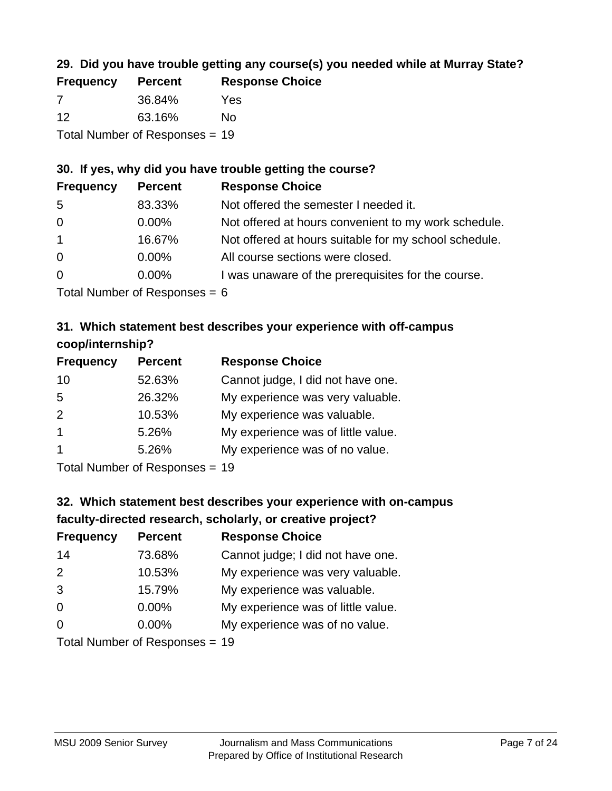## **29. Did you have trouble getting any course(s) you needed while at Murray State?**

| <b>Frequency</b>               | <b>Percent</b> | <b>Response Choice</b> |  |  |
|--------------------------------|----------------|------------------------|--|--|
| 7                              | 36.84%         | Yes                    |  |  |
| -12                            | 63.16%         | Nο                     |  |  |
| Total Number of Responses = 19 |                |                        |  |  |

### **30. If yes, why did you have trouble getting the course?**

| <b>Frequency</b> | <b>Percent</b> | <b>Response Choice</b>                                |
|------------------|----------------|-------------------------------------------------------|
| -5               | 83.33%         | Not offered the semester I needed it.                 |
| $\overline{0}$   | $0.00\%$       | Not offered at hours convenient to my work schedule.  |
| $\overline{1}$   | 16.67%         | Not offered at hours suitable for my school schedule. |
| $\overline{0}$   | $0.00\%$       | All course sections were closed.                      |
| $\overline{0}$   | $0.00\%$       | I was unaware of the prerequisites for the course.    |
|                  |                |                                                       |

Total Number of Responses = 6

## **31. Which statement best describes your experience with off-campus coop/internship?**

| <b>Frequency</b> | <b>Percent</b> | <b>Response Choice</b>             |
|------------------|----------------|------------------------------------|
| 10               | 52.63%         | Cannot judge, I did not have one.  |
| 5                | 26.32%         | My experience was very valuable.   |
| 2                | 10.53%         | My experience was valuable.        |
| $\mathbf{1}$     | 5.26%          | My experience was of little value. |
| $\overline{1}$   | 5.26%          | My experience was of no value.     |
|                  |                |                                    |

Total Number of Responses = 19

# **32. Which statement best describes your experience with on-campus faculty-directed research, scholarly, or creative project?**

| <b>Frequency</b> | <b>Percent</b>               | <b>Response Choice</b>             |
|------------------|------------------------------|------------------------------------|
| 14               | 73.68%                       | Cannot judge; I did not have one.  |
| 2                | 10.53%                       | My experience was very valuable.   |
| 3                | 15.79%                       | My experience was valuable.        |
| $\Omega$         | $0.00\%$                     | My experience was of little value. |
| $\Omega$         | $0.00\%$                     | My experience was of no value.     |
|                  | Total Number of Deepensee 10 |                                    |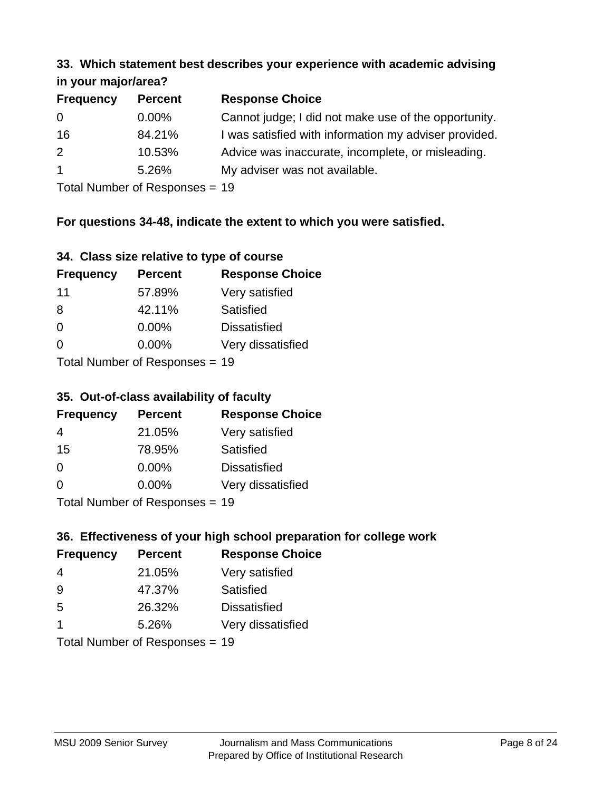#### **33. Which statement best describes your experience with academic advising in your major/area?**

| $\cdots$ your mapproved. |                |                                                       |
|--------------------------|----------------|-------------------------------------------------------|
| <b>Frequency</b>         | <b>Percent</b> | <b>Response Choice</b>                                |
| 0                        | $0.00\%$       | Cannot judge; I did not make use of the opportunity.  |
| 16                       | 84.21%         | I was satisfied with information my adviser provided. |
| 2                        | 10.53%         | Advice was inaccurate, incomplete, or misleading.     |
| $\overline{1}$           | 5.26%          | My adviser was not available.                         |
|                          |                |                                                       |

Total Number of Responses = 19

### **For questions 34-48, indicate the extent to which you were satisfied.**

| 34. Class size relative to type of course |  |  |  |  |  |  |  |  |
|-------------------------------------------|--|--|--|--|--|--|--|--|
|-------------------------------------------|--|--|--|--|--|--|--|--|

| <b>Frequency</b> | <b>Percent</b>                 | <b>Response Choice</b> |
|------------------|--------------------------------|------------------------|
| 11               | 57.89%                         | Very satisfied         |
| 8                | 42.11%                         | Satisfied              |
| $\Omega$         | 0.00%                          | <b>Dissatisfied</b>    |
| $\Omega$         | 0.00%                          | Very dissatisfied      |
|                  | Total Number of Recnonces - 19 |                        |

Total Number of Responses = 19

### **35. Out-of-class availability of faculty**

| <b>Frequency</b> | <b>Percent</b>                  | <b>Response Choice</b> |
|------------------|---------------------------------|------------------------|
| 4                | 21.05%                          | Very satisfied         |
| 15               | 78.95%                          | Satisfied              |
| $\Omega$         | $0.00\%$                        | <b>Dissatisfied</b>    |
| $\Omega$         | $0.00\%$                        | Very dissatisfied      |
|                  | $Total Number of Denonose = 40$ |                        |

Total Number of Responses = 19

## **36. Effectiveness of your high school preparation for college work**

| <b>Frequency</b> | <b>Percent</b>                 | <b>Response Choice</b> |
|------------------|--------------------------------|------------------------|
| 4                | 21.05%                         | Very satisfied         |
| 9                | 47.37%                         | Satisfied              |
| 5                | 26.32%                         | <b>Dissatisfied</b>    |
| $\mathbf 1$      | 5.26%                          | Very dissatisfied      |
|                  | Total Number of Responses = 19 |                        |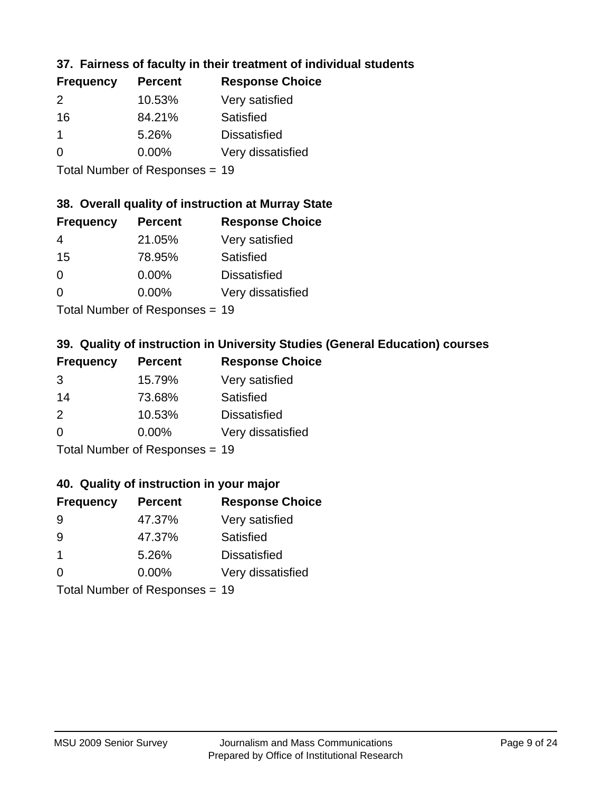### **37. Fairness of faculty in their treatment of individual students**

| <b>Frequency</b> | <b>Percent</b> | <b>Response Choice</b> |
|------------------|----------------|------------------------|
| $\mathcal{P}$    | 10.53%         | Very satisfied         |
| 16               | 84.21%         | Satisfied              |
|                  | 5.26%          | <b>Dissatisfied</b>    |
| 0                | 0.00%          | Very dissatisfied      |
|                  |                |                        |

Total Number of Responses = 19

#### **38. Overall quality of instruction at Murray State**

| <b>Frequency</b> | <b>Percent</b>                                                                                                  | <b>Response Choice</b> |
|------------------|-----------------------------------------------------------------------------------------------------------------|------------------------|
| 4                | 21.05%                                                                                                          | Very satisfied         |
| 15               | 78.95%                                                                                                          | Satisfied              |
| $\Omega$         | 0.00%                                                                                                           | <b>Dissatisfied</b>    |
| $\Omega$         | 0.00%                                                                                                           | Very dissatisfied      |
|                  | The Little and the Little Communication of the Communication of the Communication of the Communication of the U |                        |

Total Number of Responses = 19

### **39. Quality of instruction in University Studies (General Education) courses**

| <b>Frequency</b> | <b>Percent</b>            | <b>Response Choice</b> |
|------------------|---------------------------|------------------------|
| 3                | 15.79%                    | Very satisfied         |
| 14               | 73.68%                    | Satisfied              |
| $\mathcal{P}$    | 10.53%                    | <b>Dissatisfied</b>    |
| $\Omega$         | 0.00%                     | Very dissatisfied      |
|                  | Total Number of Desponses |                        |

Total Number of Responses = 19

### **40. Quality of instruction in your major**

| <b>Frequency</b>           | <b>Percent</b> | <b>Response Choice</b> |
|----------------------------|----------------|------------------------|
| 9                          | 47.37%         | Very satisfied         |
| 9                          | 47.37%         | Satisfied              |
| $\mathbf 1$                | 5.26%          | <b>Dissatisfied</b>    |
| $\Omega$                   | 0.00%          | Very dissatisfied      |
| Tatal Number of Desperance |                |                        |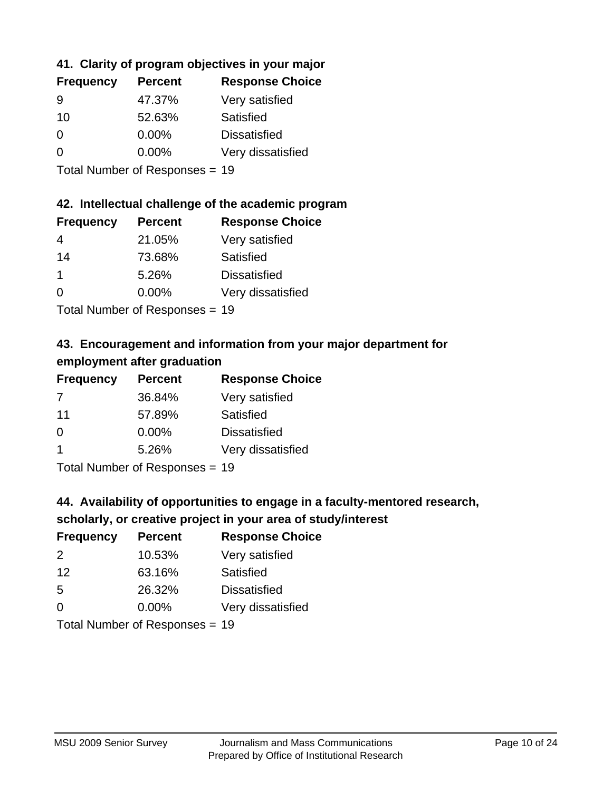## **41. Clarity of program objectives in your major**

| <b>Frequency</b> | <b>Percent</b> | <b>Response Choice</b> |
|------------------|----------------|------------------------|
| 9                | 47.37%         | Very satisfied         |
| 10               | 52.63%         | Satisfied              |
| 0                | $0.00\%$       | <b>Dissatisfied</b>    |
| ∩                | $0.00\%$       | Very dissatisfied      |
|                  |                |                        |

Total Number of Responses = 19

### **42. Intellectual challenge of the academic program**

| <b>Frequency</b> | <b>Percent</b> | <b>Response Choice</b> |
|------------------|----------------|------------------------|
| 4                | 21.05%         | Very satisfied         |
| 14               | 73.68%         | Satisfied              |
|                  | 5.26%          | <b>Dissatisfied</b>    |
| $\Omega$         | 0.00%          | Very dissatisfied      |
|                  |                |                        |

Total Number of Responses = 19

## **43. Encouragement and information from your major department for employment after graduation**

| <b>Frequency</b>     | <b>Percent</b> | <b>Response Choice</b> |
|----------------------|----------------|------------------------|
| 7                    | 36.84%         | Very satisfied         |
| 11                   | 57.89%         | Satisfied              |
| $\Omega$             | $0.00\%$       | <b>Dissatisfied</b>    |
| $\blacktriangleleft$ | 5.26%          | Very dissatisfied      |
|                      |                |                        |

Total Number of Responses = 19

## **44. Availability of opportunities to engage in a faculty-mentored research,**

### **scholarly, or creative project in your area of study/interest**

| <b>Frequency</b> | <b>Percent</b> | <b>Response Choice</b> |
|------------------|----------------|------------------------|
| $\mathcal{P}$    | 10.53%         | Very satisfied         |
| 12               | 63.16%         | Satisfied              |
| 5                | 26.32%         | <b>Dissatisfied</b>    |
| $\Omega$         | 0.00%          | Very dissatisfied      |
|                  |                |                        |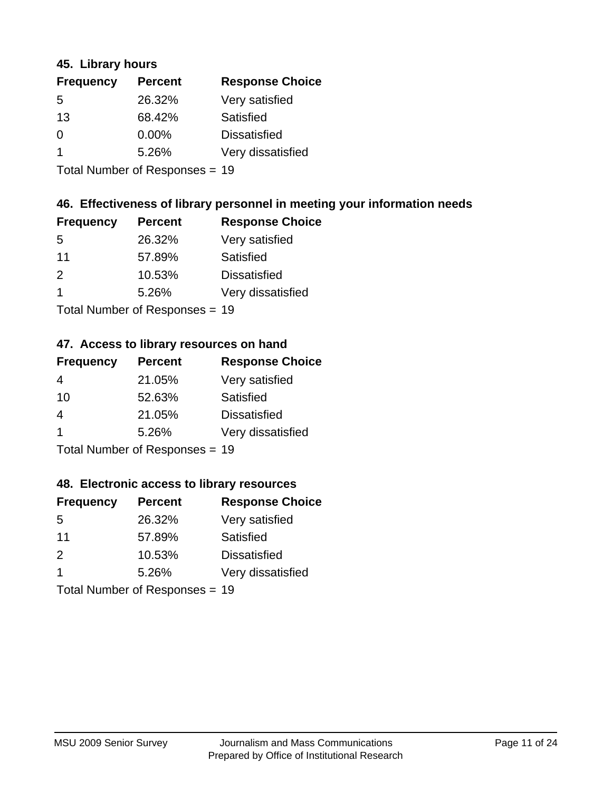### **45. Library hours**

| <b>Frequency</b> | <b>Percent</b> | <b>Response Choice</b> |
|------------------|----------------|------------------------|
| 5                | 26.32%         | Very satisfied         |
| 13               | 68.42%         | Satisfied              |
| $\Omega$         | 0.00%          | <b>Dissatisfied</b>    |
|                  | 5.26%          | Very dissatisfied      |
|                  |                |                        |

Total Number of Responses = 19

### **46. Effectiveness of library personnel in meeting your information needs**

| <b>Frequency</b> | <b>Percent</b> | <b>Response Choice</b> |
|------------------|----------------|------------------------|
| .5               | 26.32%         | Very satisfied         |
| 11               | 57.89%         | Satisfied              |
| $\mathcal{P}$    | 10.53%         | <b>Dissatisfied</b>    |
|                  | 5.26%          | Very dissatisfied      |
|                  |                |                        |

Total Number of Responses = 19

#### **47. Access to library resources on hand**

| <b>Frequency</b> | <b>Percent</b>            | <b>Response Choice</b> |
|------------------|---------------------------|------------------------|
| 4                | 21.05%                    | Very satisfied         |
| 10               | 52.63%                    | Satisfied              |
| 4                | 21.05%                    | <b>Dissatisfied</b>    |
| $\overline{1}$   | 5.26%                     | Very dissatisfied      |
|                  | Total Number of Desponses |                        |

Total Number of Responses = 19

### **48. Electronic access to library resources**

| <b>Frequency</b>          | <b>Percent</b> | <b>Response Choice</b> |
|---------------------------|----------------|------------------------|
| .5                        | 26.32%         | Very satisfied         |
| 11                        | 57.89%         | Satisfied              |
| $\mathcal{P}$             | 10.53%         | <b>Dissatisfied</b>    |
|                           | 5.26%          | Very dissatisfied      |
| Total Number of Deepensee |                |                        |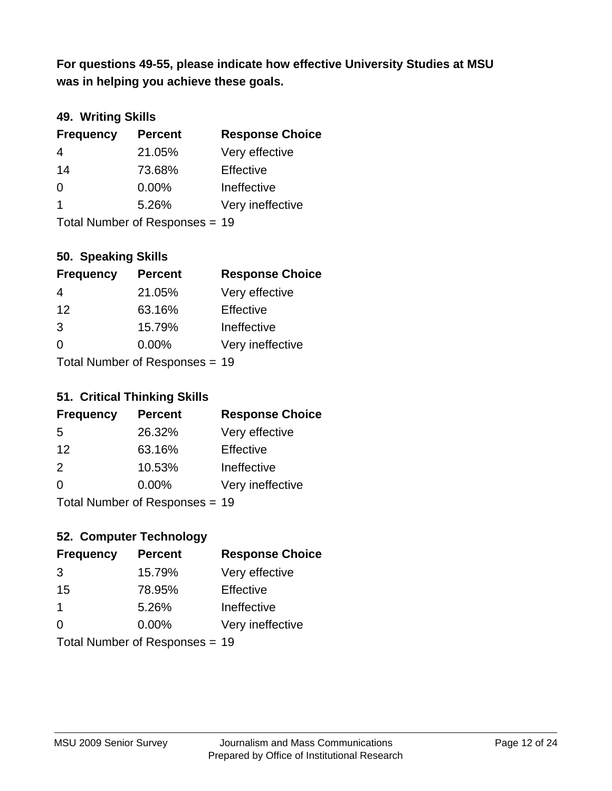**was in helping you achieve these goals. For questions 49-55, please indicate how effective University Studies at MSU** 

### **49. Writing Skills**

| <b>Frequency</b> | <b>Percent</b>                 | <b>Response Choice</b> |
|------------------|--------------------------------|------------------------|
| $\overline{4}$   | 21.05%                         | Very effective         |
| 14               | 73.68%                         | Effective              |
| $\Omega$         | 0.00%                          | Ineffective            |
| $\overline{1}$   | 5.26%                          | Very ineffective       |
|                  | Total Number of Responses = 19 |                        |

### **50. Speaking Skills**

| <b>Frequency</b> | <b>Percent</b>                 | <b>Response Choice</b> |
|------------------|--------------------------------|------------------------|
| 4                | 21.05%                         | Very effective         |
| 12               | 63.16%                         | Effective              |
| 3                | 15.79%                         | Ineffective            |
| $\Omega$         | $0.00\%$                       | Very ineffective       |
|                  | Total Number of Reconnege - 10 |                        |

Total Number of Responses = 19

#### **51. Critical Thinking Skills**

| <b>Frequency</b>                | <b>Percent</b> | <b>Response Choice</b> |
|---------------------------------|----------------|------------------------|
| -5                              | 26.32%         | Very effective         |
| 12                              | 63.16%         | Effective              |
| $\mathcal{P}$                   | 10.53%         | Ineffective            |
| $\Omega$                        | 0.00%          | Very ineffective       |
| $Total$ Number of Despanses $-$ |                |                        |

Total Number of Responses = 19

## **52. Computer Technology**

| <b>Frequency</b> | <b>Percent</b>                 | <b>Response Choice</b> |
|------------------|--------------------------------|------------------------|
| 3                | 15.79%                         | Very effective         |
| 15               | 78.95%                         | Effective              |
| -1               | 5.26%                          | Ineffective            |
| $\Omega$         | 0.00%                          | Very ineffective       |
|                  | Total Number of Responses = 19 |                        |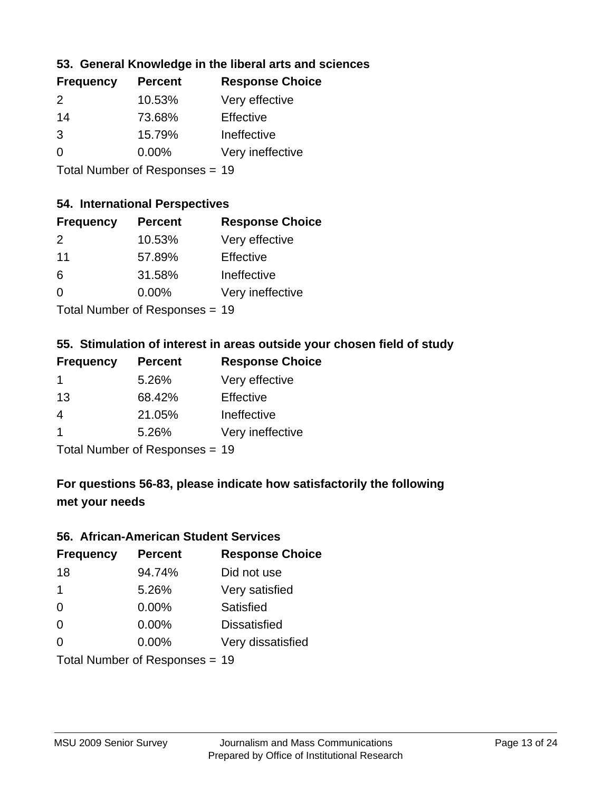### **53. General Knowledge in the liberal arts and sciences**

| <b>Frequency</b> | <b>Percent</b> | <b>Response Choice</b> |
|------------------|----------------|------------------------|
| $\mathcal{P}$    | 10.53%         | Very effective         |
| 14               | 73.68%         | Effective              |
| 3                | 15.79%         | Ineffective            |
| $\Omega$         | 0.00%          | Very ineffective       |
|                  |                |                        |

Total Number of Responses = 19

### **54. International Perspectives**

| <b>Frequency</b> | <b>Percent</b>                                                | <b>Response Choice</b> |
|------------------|---------------------------------------------------------------|------------------------|
| 2                | 10.53%                                                        | Very effective         |
| 11               | 57.89%                                                        | Effective              |
| 6                | 31.58%                                                        | Ineffective            |
| $\Omega$         | 0.00%                                                         | Very ineffective       |
|                  | $\tau$ and $\tau$ and $\tau$ and $\tau$ and $\tau$ and $\tau$ |                        |

Total Number of Responses = 19

# **55. Stimulation of interest in areas outside your chosen field of study**

| <b>Frequency</b>               | <b>Percent</b> | <b>Response Choice</b> |
|--------------------------------|----------------|------------------------|
| $\mathbf 1$                    | 5.26%          | Very effective         |
| 13                             | 68.42%         | Effective              |
| 4                              | 21.05%         | Ineffective            |
| -1                             | 5.26%          | Very ineffective       |
| Total Number of Responses = 19 |                |                        |

## **For questions 56-83, please indicate how satisfactorily the following met your needs**

#### **56. African-American Student Services**

| <b>Frequency</b> | <b>Percent</b>                 | <b>Response Choice</b> |
|------------------|--------------------------------|------------------------|
| 18               | 94.74%                         | Did not use            |
| $\mathbf 1$      | 5.26%                          | Very satisfied         |
| 0                | 0.00%                          | Satisfied              |
| 0                | $0.00\%$                       | <b>Dissatisfied</b>    |
| $\Omega$         | $0.00\%$                       | Very dissatisfied      |
|                  | Total Number of Responses = 19 |                        |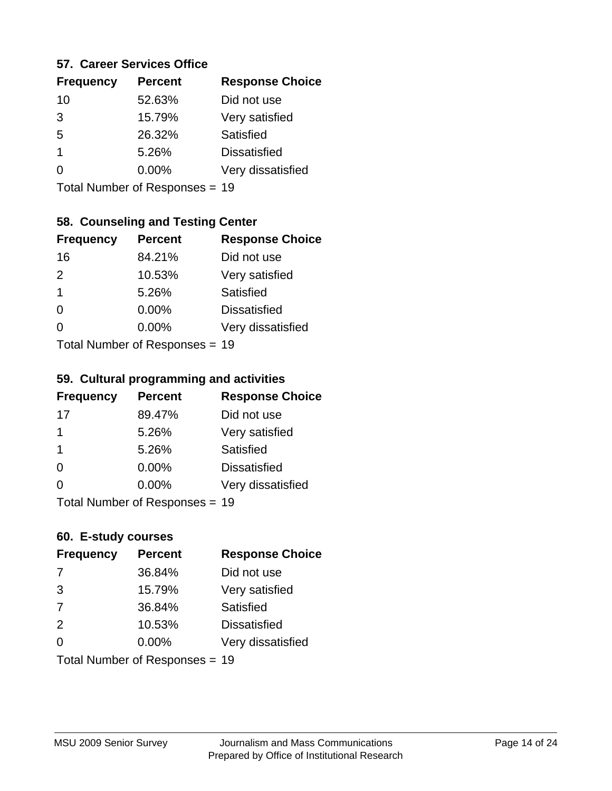#### **57. Career Services Office**

| <b>Frequency</b> | <b>Percent</b> | <b>Response Choice</b> |
|------------------|----------------|------------------------|
| 10               | 52.63%         | Did not use            |
| 3                | 15.79%         | Very satisfied         |
| 5                | 26.32%         | Satisfied              |
| 1                | 5.26%          | <b>Dissatisfied</b>    |
|                  | $0.00\%$       | Very dissatisfied      |
|                  |                |                        |

Total Number of Responses = 19

### **58. Counseling and Testing Center**

| <b>Frequency</b> | <b>Percent</b>            | <b>Response Choice</b> |
|------------------|---------------------------|------------------------|
| 16               | 84.21%                    | Did not use            |
| 2                | 10.53%                    | Very satisfied         |
| 1                | 5.26%                     | <b>Satisfied</b>       |
| 0                | $0.00\%$                  | <b>Dissatisfied</b>    |
| 0                | $0.00\%$                  | Very dissatisfied      |
|                  | Total Number of Desponses |                        |

Total Number of Responses = 19

#### **59. Cultural programming and activities**

| <b>Frequency</b> | <b>Percent</b>                 | <b>Response Choice</b> |
|------------------|--------------------------------|------------------------|
| 17               | 89.47%                         | Did not use            |
| 1                | 5.26%                          | Very satisfied         |
| -1               | 5.26%                          | Satisfied              |
| $\Omega$         | $0.00\%$                       | <b>Dissatisfied</b>    |
| $\Omega$         | 0.00%                          | Very dissatisfied      |
|                  | Total Number of Responses = 19 |                        |

### **60. E-study courses**

| <b>Frequency</b> | <b>Percent</b>                 | <b>Response Choice</b> |
|------------------|--------------------------------|------------------------|
| 7                | 36.84%                         | Did not use            |
| 3                | 15.79%                         | Very satisfied         |
| 7                | 36.84%                         | Satisfied              |
| 2                | 10.53%                         | <b>Dissatisfied</b>    |
| $\Omega$         | $0.00\%$                       | Very dissatisfied      |
|                  | Total Number of Responses = 19 |                        |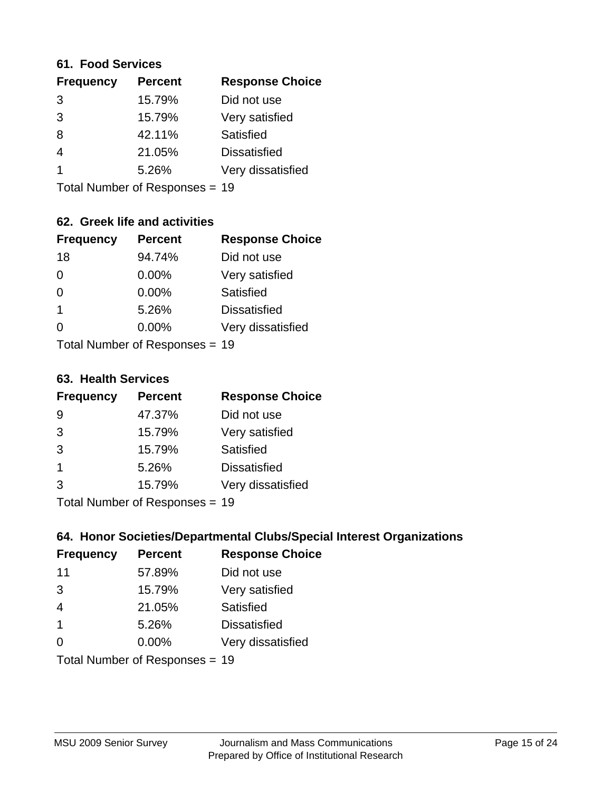#### **61. Food Services**

| <b>Frequency</b> | <b>Percent</b> | <b>Response Choice</b> |
|------------------|----------------|------------------------|
| 3                | 15.79%         | Did not use            |
| 3                | 15.79%         | Very satisfied         |
| 8                | 42.11%         | Satisfied              |
| 4                | 21.05%         | <b>Dissatisfied</b>    |
|                  | 5.26%          | Very dissatisfied      |
|                  |                |                        |

Total Number of Responses = 19

## **62. Greek life and activities**

| <b>Frequency</b> | <b>Percent</b>                 | <b>Response Choice</b> |
|------------------|--------------------------------|------------------------|
| 18               | 94.74%                         | Did not use            |
| 0                | 0.00%                          | Very satisfied         |
| $\Omega$         | 0.00%                          | Satisfied              |
| 1                | 5.26%                          | <b>Dissatisfied</b>    |
| 0                | 0.00%                          | Very dissatisfied      |
|                  | Total Number of Responses = 19 |                        |

#### **63. Health Services**

| <b>Frequency</b> | <b>Percent</b>             | <b>Response Choice</b> |
|------------------|----------------------------|------------------------|
| 9                | 47.37%                     | Did not use            |
| 3                | 15.79%                     | Very satisfied         |
| 3                | 15.79%                     | <b>Satisfied</b>       |
| -1               | 5.26%                      | <b>Dissatisfied</b>    |
| 3                | 15.79%                     | Very dissatisfied      |
|                  | Tatal Number of Desperance |                        |

Total Number of Responses = 19

### **64. Honor Societies/Departmental Clubs/Special Interest Organizations**

| <b>Frequency</b> | <b>Percent</b>                 | <b>Response Choice</b> |
|------------------|--------------------------------|------------------------|
| 11               | 57.89%                         | Did not use            |
| 3                | 15.79%                         | Very satisfied         |
| $\overline{4}$   | 21.05%                         | Satisfied              |
| $\overline{1}$   | 5.26%                          | <b>Dissatisfied</b>    |
| $\Omega$         | 0.00%                          | Very dissatisfied      |
|                  | Total Number of Responses = 19 |                        |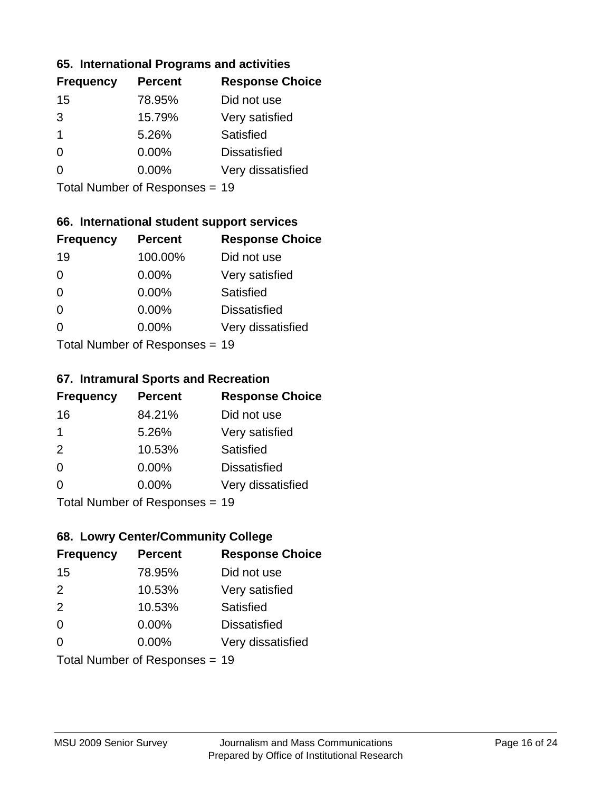### **65. International Programs and activities**

| <b>Frequency</b> | <b>Percent</b> | <b>Response Choice</b> |
|------------------|----------------|------------------------|
| 15               | 78.95%         | Did not use            |
| 3                | 15.79%         | Very satisfied         |
| 1                | 5.26%          | Satisfied              |
| O                | $0.00\%$       | <b>Dissatisfied</b>    |
|                  | $0.00\%$       | Very dissatisfied      |
|                  |                |                        |

Total Number of Responses = 19

### **66. International student support services**

| <b>Frequency</b> | <b>Percent</b>            | <b>Response Choice</b> |
|------------------|---------------------------|------------------------|
| 19               | 100.00%                   | Did not use            |
| $\Omega$         | 0.00%                     | Very satisfied         |
| $\Omega$         | $0.00\%$                  | <b>Satisfied</b>       |
| $\Omega$         | 0.00%                     | <b>Dissatisfied</b>    |
| $\Omega$         | 0.00%                     | Very dissatisfied      |
|                  | Total Number of Desponses |                        |

Total Number of Responses = 19

#### **67. Intramural Sports and Recreation**

| <b>Frequency</b> | <b>Percent</b>                  | <b>Response Choice</b> |
|------------------|---------------------------------|------------------------|
| 16               | 84.21%                          | Did not use            |
| -1               | 5.26%                           | Very satisfied         |
| 2                | 10.53%                          | Satisfied              |
| $\Omega$         | 0.00%                           | <b>Dissatisfied</b>    |
| $\Omega$         | 0.00%                           | Very dissatisfied      |
|                  | $Total Number of Denonose = 40$ |                        |

I otal Number of Responses = 19

## **68. Lowry Center/Community College**

| <b>Frequency</b> | <b>Percent</b>                 | <b>Response Choice</b> |
|------------------|--------------------------------|------------------------|
| 15               | 78.95%                         | Did not use            |
| 2                | 10.53%                         | Very satisfied         |
| 2                | 10.53%                         | Satisfied              |
| $\Omega$         | 0.00%                          | <b>Dissatisfied</b>    |
| $\Omega$         | $0.00\%$                       | Very dissatisfied      |
|                  | Total Number of Responses = 19 |                        |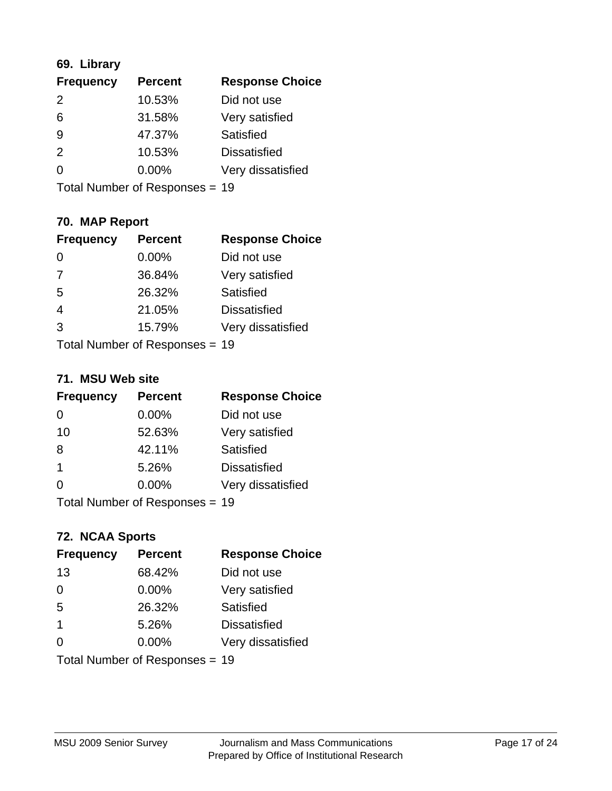## **69. Library**

| <b>Frequency</b> | <b>Percent</b> | <b>Response Choice</b> |
|------------------|----------------|------------------------|
| $\mathcal{P}$    | 10.53%         | Did not use            |
| 6                | 31.58%         | Very satisfied         |
| 9                | 47.37%         | Satisfied              |
| $\mathcal{P}$    | 10.53%         | <b>Dissatisfied</b>    |
| $\Omega$         | $0.00\%$       | Very dissatisfied      |
|                  |                |                        |

Total Number of Responses = 19

## **70. MAP Report**

| <b>Frequency</b> | <b>Percent</b>                 | <b>Response Choice</b> |
|------------------|--------------------------------|------------------------|
| $\Omega$         | 0.00%                          | Did not use            |
| 7                | 36.84%                         | Very satisfied         |
| 5                | 26.32%                         | Satisfied              |
| $\overline{4}$   | 21.05%                         | <b>Dissatisfied</b>    |
| 3                | 15.79%                         | Very dissatisfied      |
|                  | Total Number of Responses = 19 |                        |

### **71. MSU Web site**

| <b>Frequency</b> | <b>Percent</b>                 | <b>Response Choice</b> |
|------------------|--------------------------------|------------------------|
| 0                | $0.00\%$                       | Did not use            |
| 10               | 52.63%                         | Very satisfied         |
| 8                | 42.11%                         | Satisfied              |
| -1               | 5.26%                          | <b>Dissatisfied</b>    |
| ∩                | $0.00\%$                       | Very dissatisfied      |
|                  | Total Number of Responses = 19 |                        |

# **72. NCAA Sports**

| <b>Frequency</b> | <b>Percent</b>                 | <b>Response Choice</b> |
|------------------|--------------------------------|------------------------|
| 13               | 68.42%                         | Did not use            |
| 0                | 0.00%                          | Very satisfied         |
| 5                | 26.32%                         | Satisfied              |
| -1               | 5.26%                          | <b>Dissatisfied</b>    |
| ∩                | $0.00\%$                       | Very dissatisfied      |
|                  | Total Number of Responses = 19 |                        |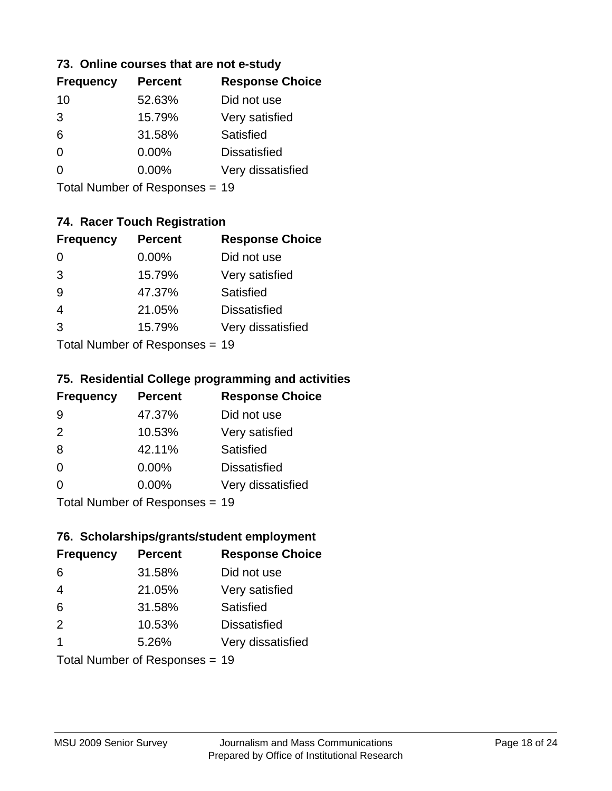### **73. Online courses that are not e-study**

| <b>Frequency</b> | <b>Percent</b> | <b>Response Choice</b> |
|------------------|----------------|------------------------|
| 10               | 52.63%         | Did not use            |
| 3                | 15.79%         | Very satisfied         |
| 6                | 31.58%         | Satisfied              |
| 0                | $0.00\%$       | <b>Dissatisfied</b>    |
|                  | $0.00\%$       | Very dissatisfied      |
|                  |                |                        |

Total Number of Responses = 19

## **74. Racer Touch Registration**

| <b>Frequency</b> | <b>Percent</b>             | <b>Response Choice</b> |
|------------------|----------------------------|------------------------|
| 0                | $0.00\%$                   | Did not use            |
| 3                | 15.79%                     | Very satisfied         |
| 9                | 47.37%                     | Satisfied              |
|                  | 21.05%                     | <b>Dissatisfied</b>    |
| 3                | 15.79%                     | Very dissatisfied      |
|                  | Total Number of Deepersoon |                        |

Total Number of Responses = 19

### **75. Residential College programming and activities**

| <b>Frequency</b> | <b>Percent</b>            | <b>Response Choice</b> |
|------------------|---------------------------|------------------------|
| 9                | 47.37%                    | Did not use            |
| 2                | 10.53%                    | Very satisfied         |
| 8                | 42.11%                    | Satisfied              |
| $\Omega$         | 0.00%                     | <b>Dissatisfied</b>    |
| $\Omega$         | 0.00%                     | Very dissatisfied      |
|                  | Total Number of Desponses |                        |

Total Number of Responses = 19

### **76. Scholarships/grants/student employment**

| <b>Frequency</b> | <b>Percent</b>                 | <b>Response Choice</b> |
|------------------|--------------------------------|------------------------|
| 6                | 31.58%                         | Did not use            |
| $\overline{4}$   | 21.05%                         | Very satisfied         |
| 6                | 31.58%                         | <b>Satisfied</b>       |
| 2                | 10.53%                         | <b>Dissatisfied</b>    |
| -1               | 5.26%                          | Very dissatisfied      |
|                  | Total Number of Responses = 19 |                        |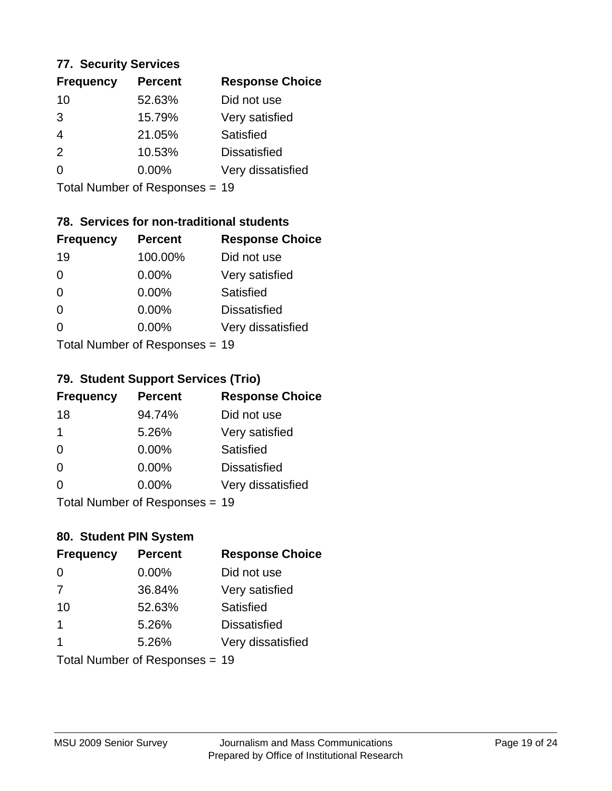### **77. Security Services**

| <b>Frequency</b> | <b>Percent</b> | <b>Response Choice</b> |
|------------------|----------------|------------------------|
| 10               | 52.63%         | Did not use            |
| 3                | 15.79%         | Very satisfied         |
| 4                | 21.05%         | Satisfied              |
| $\mathcal{P}$    | 10.53%         | <b>Dissatisfied</b>    |
| ∩                | $0.00\%$       | Very dissatisfied      |
|                  |                |                        |

Total Number of Responses = 19

## **78. Services for non-traditional students**

| <b>Frequency</b>          | <b>Percent</b> | <b>Response Choice</b> |
|---------------------------|----------------|------------------------|
| 19                        | 100.00%        | Did not use            |
| 0                         | 0.00%          | Very satisfied         |
| $\Omega$                  | 0.00%          | <b>Satisfied</b>       |
| $\Omega$                  | 0.00%          | <b>Dissatisfied</b>    |
| 0                         | $0.00\%$       | Very dissatisfied      |
| Total Number of Desponses |                |                        |

Total Number of Responses = 19

### **79. Student Support Services (Trio)**

| <b>Frequency</b> | <b>Percent</b>                  | <b>Response Choice</b> |
|------------------|---------------------------------|------------------------|
| 18               | 94.74%                          | Did not use            |
| 1                | 5.26%                           | Very satisfied         |
| $\Omega$         | $0.00\%$                        | Satisfied              |
| $\Omega$         | $0.00\%$                        | <b>Dissatisfied</b>    |
| $\Omega$         | $0.00\%$                        | Very dissatisfied      |
|                  | $Total Number of Denonose = 40$ |                        |

Total Number of Responses = 19

## **80. Student PIN System**

| <b>Frequency</b> | <b>Percent</b>                 | <b>Response Choice</b> |
|------------------|--------------------------------|------------------------|
| $\Omega$         | 0.00%                          | Did not use            |
| 7                | 36.84%                         | Very satisfied         |
| 10               | 52.63%                         | Satisfied              |
| 1                | 5.26%                          | <b>Dissatisfied</b>    |
|                  | 5.26%                          | Very dissatisfied      |
|                  | Total Number of Responses = 19 |                        |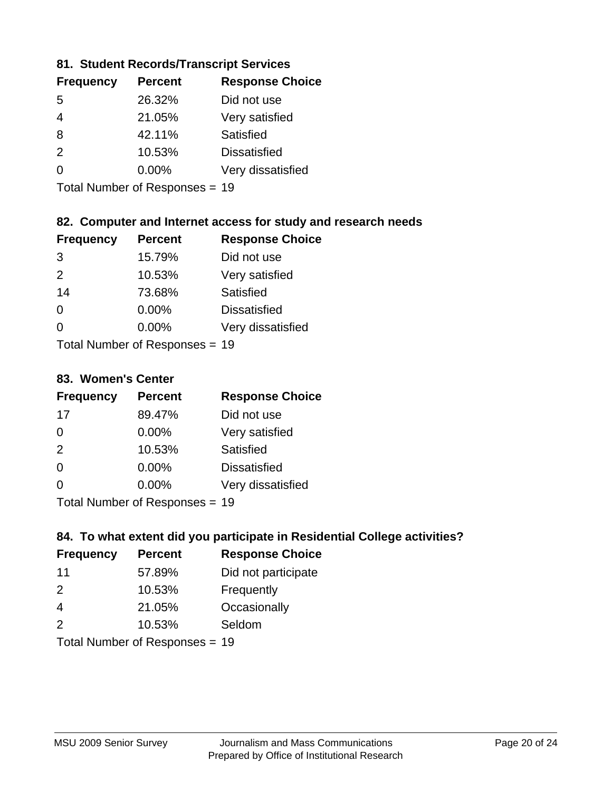### **81. Student Records/Transcript Services**

| <b>Frequency</b> | <b>Percent</b> | <b>Response Choice</b> |
|------------------|----------------|------------------------|
| .5               | 26.32%         | Did not use            |
| 4                | 21.05%         | Very satisfied         |
| 8                | 42.11%         | Satisfied              |
| $\mathcal{P}$    | 10.53%         | <b>Dissatisfied</b>    |
| $\Omega$         | $0.00\%$       | Very dissatisfied      |

Total Number of Responses = 19

### **82. Computer and Internet access for study and research needs**

| <b>Frequency</b> | <b>Percent</b>             | <b>Response Choice</b> |
|------------------|----------------------------|------------------------|
| 3                | 15.79%                     | Did not use            |
| 2                | 10.53%                     | Very satisfied         |
| 14               | 73.68%                     | Satisfied              |
| 0                | 0.00%                      | <b>Dissatisfied</b>    |
| ∩                | 0.00%                      | Very dissatisfied      |
|                  | Tatal Number of Desperance |                        |

Total Number of Responses = 19

### **83. Women's Center**

| <b>Frequency</b> | <b>Percent</b>            | <b>Response Choice</b> |
|------------------|---------------------------|------------------------|
| 17               | 89.47%                    | Did not use            |
| $\Omega$         | $0.00\%$                  | Very satisfied         |
| 2                | 10.53%                    | Satisfied              |
| $\Omega$         | $0.00\%$                  | <b>Dissatisfied</b>    |
| ∩                | $0.00\%$                  | Very dissatisfied      |
|                  | Total Number of Deepersee |                        |

Total Number of Responses = 19

### **84. To what extent did you participate in Residential College activities?**

| <b>Frequency</b> | <b>Percent</b>               | <b>Response Choice</b> |
|------------------|------------------------------|------------------------|
| 11               | 57.89%                       | Did not participate    |
| $\mathcal{P}$    | 10.53%                       | Frequently             |
| $\overline{4}$   | 21.05%                       | Occasionally           |
| 2                | 10.53%                       | Seldom                 |
|                  | $\tau$ . The state of $\sim$ |                        |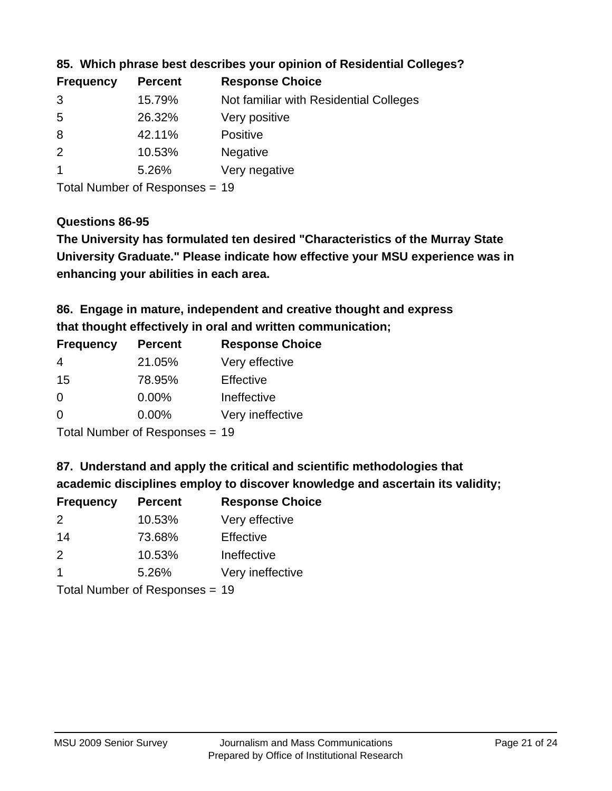| <b>Frequency</b> | <b>Percent</b> | <b>Response Choice</b>                 |
|------------------|----------------|----------------------------------------|
| 3                | 15.79%         | Not familiar with Residential Colleges |
| -5               | 26.32%         | Very positive                          |
| 8                | 42.11%         | <b>Positive</b>                        |
| 2                | 10.53%         | <b>Negative</b>                        |
|                  | 5.26%          | Very negative                          |
|                  |                |                                        |

### **85. Which phrase best describes your opinion of Residential Colleges?**

Total Number of Responses = 19

### **Questions 86-95**

**University Graduate." Please indicate how effective your MSU experience was in The University has formulated ten desired "Characteristics of the Murray State enhancing your abilities in each area.**

**86. Engage in mature, independent and creative thought and express that thought effectively in oral and written communication;**

| <b>Frequency</b> | <b>Percent</b> | <b>Response Choice</b> |
|------------------|----------------|------------------------|
| 4                | 21.05%         | Very effective         |
| 15               | 78.95%         | Effective              |
| 0                | 0.00%          | Ineffective            |
| $\Omega$         | $0.00\%$       | Very ineffective       |

Total Number of Responses = 19

**87. Understand and apply the critical and scientific methodologies that** 

**academic disciplines employ to discover knowledge and ascertain its validity;**

| <b>Frequency</b> | <b>Percent</b>                           | <b>Response Choice</b> |
|------------------|------------------------------------------|------------------------|
| $\mathcal{P}$    | 10.53%                                   | Very effective         |
| 14               | 73.68%                                   | Effective              |
| 2                | 10.53%                                   | Ineffective            |
| -1               | 5.26%                                    | Very ineffective       |
|                  | $T$ at all Message and $D$ are a serious |                        |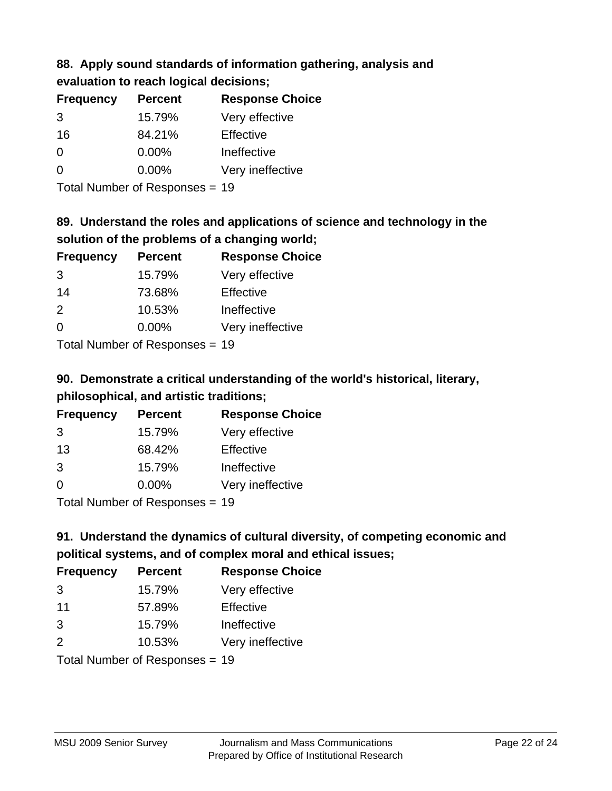#### **88. Apply sound standards of information gathering, analysis and evaluation to reach logical decisions;**

| <b>Frequency</b> | <b>Percent</b> | <b>Response Choice</b> |
|------------------|----------------|------------------------|
| 3                | 15.79%         | Very effective         |
| 16               | 84.21%         | Effective              |
| 0                | 0.00%          | Ineffective            |
| 0                | 0.00%          | Very ineffective       |
|                  |                |                        |

Total Number of Responses = 19

## **89. Understand the roles and applications of science and technology in the solution of the problems of a changing world;**

| <b>Frequency</b> | <b>Percent</b>                                          | <b>Response Choice</b> |
|------------------|---------------------------------------------------------|------------------------|
| 3                | 15.79%                                                  | Very effective         |
| 14               | 73.68%                                                  | Effective              |
| $\mathcal{P}$    | 10.53%                                                  | Ineffective            |
| $\Omega$         | $0.00\%$                                                | Very ineffective       |
|                  | $T$ at all Masseds and $R$ $\sim$ and $\sim$ and $\sim$ |                        |

Total Number of Responses = 19

# **90. Demonstrate a critical understanding of the world's historical, literary, philosophical, and artistic traditions;**

| <b>Frequency</b> | <b>Percent</b> | <b>Response Choice</b> |
|------------------|----------------|------------------------|
| 3                | 15.79%         | Very effective         |
| 13               | 68.42%         | Effective              |
| 3                | 15.79%         | Ineffective            |
| $\Omega$         | 0.00%          | Very ineffective       |
|                  |                |                        |

Total Number of Responses = 19

# **91. Understand the dynamics of cultural diversity, of competing economic and political systems, and of complex moral and ethical issues;**

| <b>Frequency</b> | <b>Percent</b>                 | <b>Response Choice</b> |
|------------------|--------------------------------|------------------------|
| 3                | 15.79%                         | Very effective         |
| 11               | 57.89%                         | Effective              |
| 3                | 15.79%                         | Ineffective            |
| 2                | 10.53%                         | Very ineffective       |
|                  | Total Number of Responses = 19 |                        |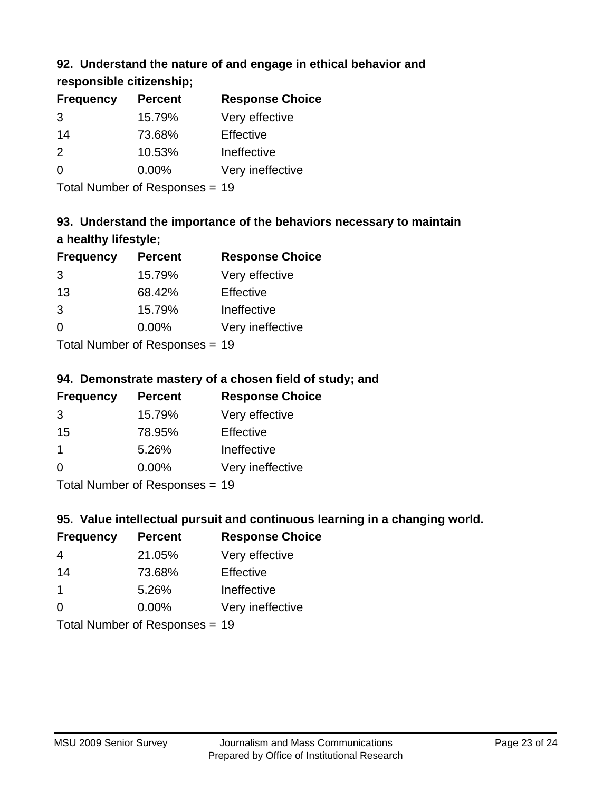## **92. Understand the nature of and engage in ethical behavior and**

**responsible citizenship;**

| <b>Frequency</b> | <b>Percent</b> | <b>Response Choice</b> |
|------------------|----------------|------------------------|
| 3                | 15.79%         | Very effective         |
| 14               | 73.68%         | Effective              |
| $\mathcal{P}$    | 10.53%         | Ineffective            |
| ∩                | $0.00\%$       | Very ineffective       |
|                  |                |                        |

Total Number of Responses = 19

# **93. Understand the importance of the behaviors necessary to maintain a healthy lifestyle;**

| <b>Frequency</b> | <b>Percent</b>             | <b>Response Choice</b> |
|------------------|----------------------------|------------------------|
| 3                | 15.79%                     | Very effective         |
| 13               | 68.42%                     | Effective              |
| 3                | 15.79%                     | Ineffective            |
| $\Omega$         | 0.00%                      | Very ineffective       |
|                  | Tatal Number of Desperance |                        |

Total Number of Responses = 19

## **94. Demonstrate mastery of a chosen field of study; and**

| <b>Frequency</b> | <b>Percent</b> | <b>Response Choice</b> |
|------------------|----------------|------------------------|
| 3                | 15.79%         | Very effective         |
| 15               | 78.95%         | Effective              |
|                  | 5.26%          | Ineffective            |
| $\Omega$         | 0.00%          | Very ineffective       |
|                  |                |                        |

Total Number of Responses = 19

## **95. Value intellectual pursuit and continuous learning in a changing world.**

| <b>Frequency</b> | <b>Percent</b>             | <b>Response Choice</b> |
|------------------|----------------------------|------------------------|
| 4                | 21.05%                     | Very effective         |
| 14               | 73.68%                     | Effective              |
| $\mathbf 1$      | 5.26%                      | Ineffective            |
| $\Omega$         | 0.00%                      | Very ineffective       |
|                  | Tatal Number of Desperance |                        |